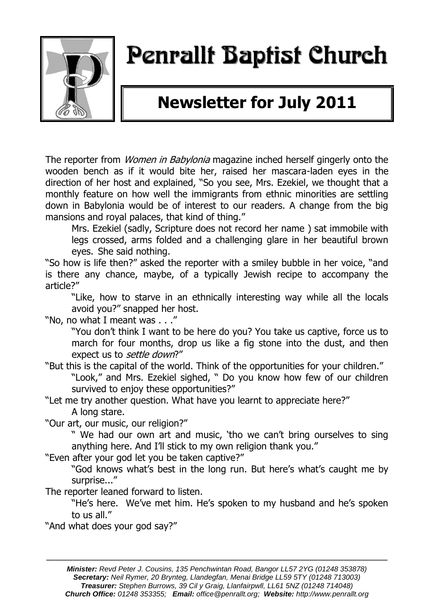

# Penrallt Baptist Church

## **Newsletter for July 2011**

The reporter from *Women in Babylonia* magazine inched herself gingerly onto the wooden bench as if it would bite her, raised her mascara-laden eyes in the direction of her host and explained, "So you see, Mrs. Ezekiel, we thought that a monthly feature on how well the immigrants from ethnic minorities are settling down in Babylonia would be of interest to our readers. A change from the big mansions and royal palaces, that kind of thing."

Mrs. Ezekiel (sadly, Scripture does not record her name ) sat immobile with legs crossed, arms folded and a challenging glare in her beautiful brown eyes. She said nothing.

"So how is life then?" asked the reporter with a smiley bubble in her voice, "and is there any chance, maybe, of a typically Jewish recipe to accompany the article?"

"Like, how to starve in an ethnically interesting way while all the locals avoid you?" snapped her host.

"No, no what I meant was . . ."

"You don"t think I want to be here do you? You take us captive, force us to march for four months, drop us like a fig stone into the dust, and then expect us to *settle down*?"

- "But this is the capital of the world. Think of the opportunities for your children." "Look," and Mrs. Ezekiel sighed, " Do you know how few of our children survived to enjoy these opportunities?"
- "Let me try another question. What have you learnt to appreciate here?" A long stare.

"Our art, our music, our religion?"

" We had our own art and music, "tho we can"t bring ourselves to sing anything here. And I'll stick to my own religion thank you."

"Even after your god let you be taken captive?"

"God knows what"s best in the long run. But here"s what"s caught me by surprise..."

The reporter leaned forward to listen.

"He's here. We've met him. He's spoken to my husband and he's spoken to us all."

"And what does your god say?"

———————————————————————————————————————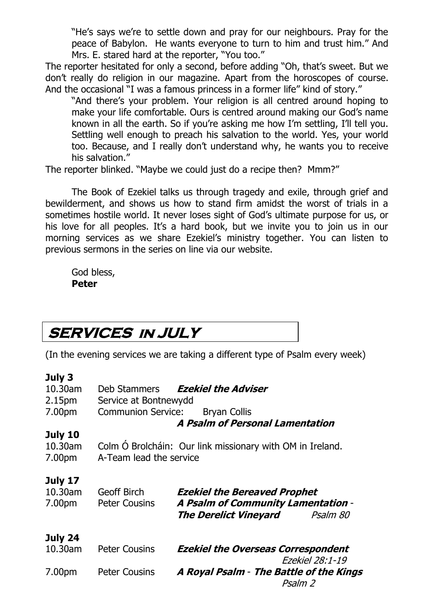"He's says we're to settle down and pray for our neighbours. Pray for the peace of Babylon. He wants everyone to turn to him and trust him." And Mrs. E. stared hard at the reporter, "You too."

The reporter hesitated for only a second, before adding "Oh, that"s sweet. But we don"t really do religion in our magazine. Apart from the horoscopes of course. And the occasional "I was a famous princess in a former life" kind of story."

"And there's your problem. Your religion is all centred around hoping to make your life comfortable. Ours is centred around making our God"s name known in all the earth. So if you"re asking me how I"m settling, I"ll tell you. Settling well enough to preach his salvation to the world. Yes, your world too. Because, and I really don"t understand why, he wants you to receive his salvation."

The reporter blinked. "Maybe we could just do a recipe then? Mmm?"

The Book of Ezekiel talks us through tragedy and exile, through grief and bewilderment, and shows us how to stand firm amidst the worst of trials in a sometimes hostile world. It never loses sight of God"s ultimate purpose for us, or his love for all peoples. It's a hard book, but we invite you to join us in our morning services as we share Ezekiel"s ministry together. You can listen to previous sermons in the series on line via our website.

God bless, **Peter**

### **SERVICES in JULY**

(In the evening services we are taking a different type of Psalm every week)

#### **July 3**

| 10.30am | Deb Stammers              | <b>Ezekiel the Adviser</b>                                |  |
|---------|---------------------------|-----------------------------------------------------------|--|
| 2.15pm  | Service at Bontnewydd     |                                                           |  |
| 7.00pm  | <b>Communion Service:</b> | <b>Bryan Collis</b>                                       |  |
|         |                           | A Psalm of Personal Lamentation                           |  |
| July 10 |                           |                                                           |  |
| 10.30am |                           | Colm Ó Brolcháin: Our link missionary with OM in Ireland. |  |
| 7.00pm  | A-Team lead the service   |                                                           |  |
|         |                           |                                                           |  |
| July 17 |                           |                                                           |  |
| 10.30am | <b>Geoff Birch</b>        | <b>Ezekiel the Bereaved Prophet</b>                       |  |
| 7.00pm  | <b>Peter Cousins</b>      | <b>A Psalm of Community Lamentation -</b>                 |  |
|         |                           | The Derelict Vineyard<br>Psalm 80                         |  |
|         |                           |                                                           |  |
| July 24 |                           |                                                           |  |
| 10.30am | <b>Peter Cousins</b>      | <b>Ezekiel the Overseas Correspondent</b>                 |  |
|         |                           | Ezekiel 28:1-19                                           |  |
| 7.00pm  | <b>Peter Cousins</b>      | A Royal Psalm - The Battle of the Kings<br>Psalm 2        |  |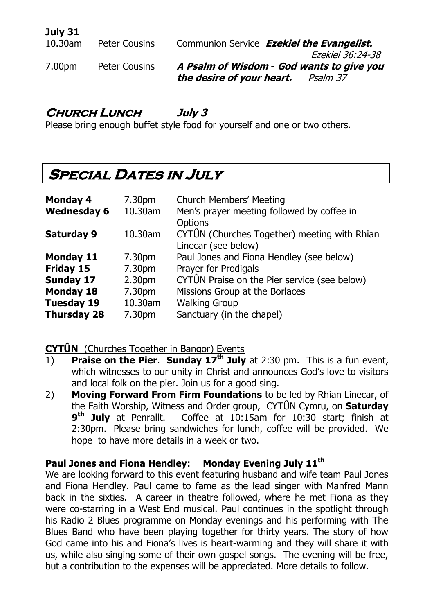### **July 31**

| <b>Peter Cousins</b> | Communion Service Ezekiel the Evangelist. |
|----------------------|-------------------------------------------|
|                      | Ezekiel 36:24-38                          |
| <b>Peter Cousins</b> | A Psalm of Wisdom - God wants to give you |
|                      | the desire of your heart.<br>Psalm 37     |
|                      |                                           |

### **Church Lunch July 3**

Please bring enough buffet style food for yourself and one or two others.

### **SPECIAL DATES IN JULY**

| <b>Monday 4</b>    | 7.30pm             | <b>Church Members' Meeting</b>                                      |  |
|--------------------|--------------------|---------------------------------------------------------------------|--|
| <b>Wednesday 6</b> | 10.30am            | Men's prayer meeting followed by coffee in<br><b>Options</b>        |  |
| <b>Saturday 9</b>  | 10.30am            | CYTÛN (Churches Together) meeting with Rhian<br>Linecar (see below) |  |
| <b>Monday 11</b>   | 7.30pm             | Paul Jones and Fiona Hendley (see below)                            |  |
| Friday 15          | 7.30pm             | Prayer for Prodigals                                                |  |
| Sunday 17          | 2.30 <sub>pm</sub> | CYTUN Praise on the Pier service (see below)                        |  |
| <b>Monday 18</b>   | 7.30pm             | Missions Group at the Borlaces                                      |  |
| <b>Tuesday 19</b>  | 10.30am            | <b>Walking Group</b>                                                |  |
| <b>Thursday 28</b> | 7.30pm             | Sanctuary (in the chapel)                                           |  |

### **CYTÛN** (Churches Together in Bangor) Events

- 1) **Praise on the Pier**. **Sunday 17th July** at 2:30 pm. This is a fun event, which witnesses to our unity in Christ and announces God's love to visitors and local folk on the pier. Join us for a good sing.
- 2) **Moving Forward From Firm Foundations** to be led by Rhian Linecar, of the Faith Worship, Witness and Order group, CYTÛN Cymru, on **Saturday 9 th July** at Penrallt. Coffee at 10:15am for 10:30 start; finish at 2:30pm. Please bring sandwiches for lunch, coffee will be provided. We hope to have more details in a week or two.

### **Paul Jones and Fiona Hendley: Monday Evening July 11th**

We are looking forward to this event featuring husband and wife team Paul Jones and Fiona Hendley. Paul came to fame as the lead singer with Manfred Mann back in the sixties. A career in theatre followed, where he met Fiona as they were co-starring in a West End musical. Paul continues in the spotlight through his Radio 2 Blues programme on Monday evenings and his performing with The Blues Band who have been playing together for thirty years. The story of how God came into his and Fiona"s lives is heart-warming and they will share it with us, while also singing some of their own gospel songs. The evening will be free, but a contribution to the expenses will be appreciated. More details to follow.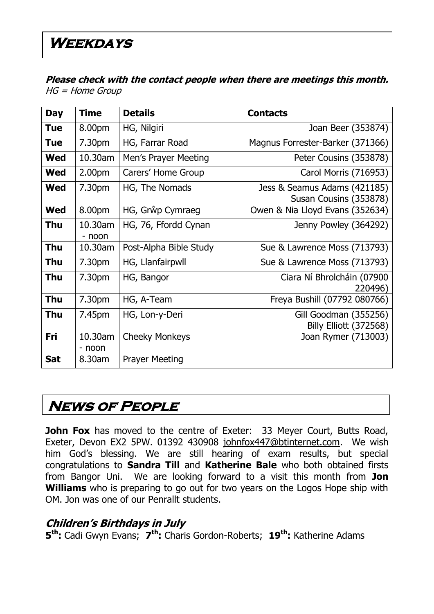**Please check with the contact people when there are meetings this month.**  HG = Home Group

| <b>Day</b> | <b>Time</b>        | <b>Details</b>         | <b>Contacts</b>                                        |
|------------|--------------------|------------------------|--------------------------------------------------------|
| <b>Tue</b> | 8.00pm             | HG, Nilgiri            | Joan Beer (353874)                                     |
| <b>Tue</b> | 7.30pm             | HG, Farrar Road        | Magnus Forrester-Barker (371366)                       |
| <b>Wed</b> | 10.30am            | Men's Prayer Meeting   | Peter Cousins (353878)                                 |
| Wed        | 2.00 <sub>pm</sub> | Carers' Home Group     | Carol Morris (716953)                                  |
| <b>Wed</b> | 7.30pm             | HG, The Nomads         | Jess & Seamus Adams (421185)<br>Susan Cousins (353878) |
| <b>Wed</b> | 8.00pm             | HG, Grŵp Cymraeg       | Owen & Nia Lloyd Evans (352634)                        |
| <b>Thu</b> | 10.30am<br>- noon  | HG, 76, Ffordd Cynan   | Jenny Powley (364292)                                  |
| Thu        | 10.30am            | Post-Alpha Bible Study | Sue & Lawrence Moss (713793)                           |
| <b>Thu</b> | 7.30pm             | HG, Llanfairpwll       | Sue & Lawrence Moss (713793)                           |
| <b>Thu</b> | 7.30pm             | HG, Bangor             | Ciara Ní Bhrolcháin (07900<br>220496)                  |
| <b>Thu</b> | 7.30pm             | HG, A-Team             | Freya Bushill (07792 080766)                           |
| <b>Thu</b> | 7.45pm             | HG, Lon-y-Deri         | Gill Goodman (355256)<br>Billy Elliott (372568)        |
| Fri        | 10.30am<br>- noon  | <b>Cheeky Monkeys</b>  | Joan Rymer (713003)                                    |
| <b>Sat</b> | 8.30am             | <b>Prayer Meeting</b>  |                                                        |

### **News of People**

**John Fox** has moved to the centre of Exeter: 33 Meyer Court, Butts Road, Exeter, Devon EX2 5PW. 01392 430908 [johnfox447@btinternet.com.](mailto:johnfox447@btinternet.com) We wish him God's blessing. We are still hearing of exam results, but special congratulations to **Sandra Till** and **Katherine Bale** who both obtained firsts from Bangor Uni. We are looking forward to a visit this month from **Jon Williams** who is preparing to go out for two years on the Logos Hope ship with OM. Jon was one of our Penrallt students.

### **Children's Birthdays in July**

**5 th:** Cadi Gwyn Evans; **7 th:** Charis Gordon-Roberts; **19th:** Katherine Adams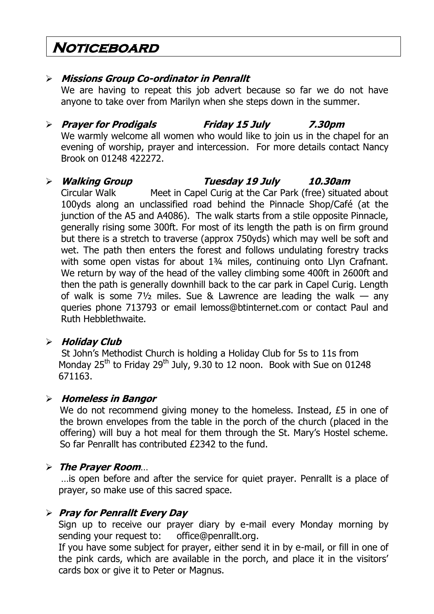### **Noticeboard**

### **Missions Group Co-ordinator in Penrallt**

We are having to repeat this job advert because so far we do not have anyone to take over from Marilyn when she steps down in the summer.

### **Prayer for Prodigals Friday 15 July 7.30pm**

We warmly welcome all women who would like to join us in the chapel for an evening of worship, prayer and intercession. For more details contact Nancy Brook on 01248 422272.

### **Walking Group Tuesday 19 July 10.30am**

Circular Walk Meet in Capel Curig at the Car Park (free) situated about 100yds along an unclassified road behind the Pinnacle Shop/Café (at the junction of the A5 and A4086). The walk starts from a stile opposite Pinnacle, generally rising some 300ft. For most of its length the path is on firm ground but there is a stretch to traverse (approx 750yds) which may well be soft and wet. The path then enters the forest and follows undulating forestry tracks with some open vistas for about 1¾ miles, continuing onto Llyn Crafnant. We return by way of the head of the valley climbing some 400ft in 2600ft and then the path is generally downhill back to the car park in Capel Curig. Length of walk is some 7½ miles. Sue & Lawrence are leading the walk — any queries phone 713793 or email lemoss@btinternet.com or contact Paul and Ruth Hebblethwaite.

#### **Holiday Club**

St John"s Methodist Church is holding a Holiday Club for 5s to 11s from Monday  $25<sup>th</sup>$  to Friday  $29<sup>th</sup>$  July, 9.30 to 12 noon. Book with Sue on 01248 671163.

#### **Homeless in Bangor**

We do not recommend giving money to the homeless. Instead, £5 in one of the brown envelopes from the table in the porch of the church (placed in the offering) will buy a hot meal for them through the St. Mary"s Hostel scheme. So far Penrallt has contributed £2342 to the fund.

### **The Prayer Room**…

…is open before and after the service for quiet prayer. Penrallt is a place of prayer, so make use of this sacred space.

### **Pray for Penrallt Every Day**

Sign up to receive our prayer diary by e-mail every Monday morning by sending your request to: [office@penrallt.org.](mailto:office@penrallt.org)

If you have some subject for prayer, either send it in by e-mail, or fill in one of the pink cards, which are available in the porch, and place it in the visitors" cards box or give it to Peter or Magnus.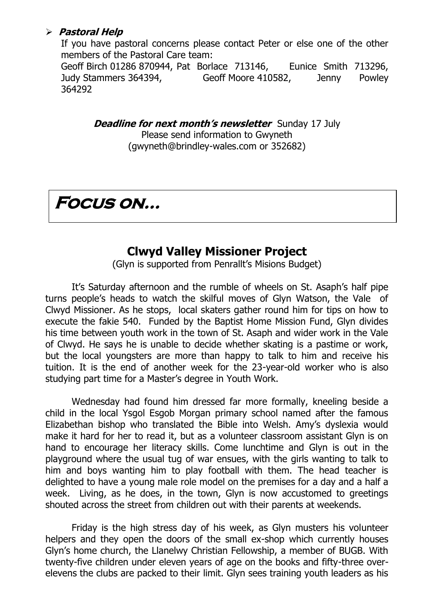#### **Pastoral Help**

If you have pastoral concerns please contact Peter or else one of the other members of the Pastoral Care team:

Geoff Birch 01286 870944, Pat Borlace 713146, Eunice Smith 713296, Judy Stammers 364394, Geoff Moore 410582, Jenny Powley 364292

> *Deadline for next month's newsletter* Sunday 17 July Please send information to Gwyneth [\(gwyneth@brindley-wales.com](mailto:gwyneth@brindley-wales.com) or 352682)

**Focus on…**

### **Clwyd Valley Missioner Project**

(Glyn is supported from Penrallt's Misions Budget)

It's Saturday afternoon and the rumble of wheels on St. Asaph's half pipe turns people"s heads to watch the skilful moves of Glyn Watson, the Vale of Clwyd Missioner. As he stops, local skaters gather round him for tips on how to execute the fakie 540. Funded by the Baptist Home Mission Fund, Glyn divides his time between youth work in the town of St. Asaph and wider work in the Vale of Clwyd. He says he is unable to decide whether skating is a pastime or work, but the local youngsters are more than happy to talk to him and receive his tuition. It is the end of another week for the 23-year-old worker who is also studying part time for a Master's degree in Youth Work.

Wednesday had found him dressed far more formally, kneeling beside a child in the local Ysgol Esgob Morgan primary school named after the famous Elizabethan bishop who translated the Bible into Welsh. Amy"s dyslexia would make it hard for her to read it, but as a volunteer classroom assistant Glyn is on hand to encourage her literacy skills. Come lunchtime and Glyn is out in the playground where the usual tug of war ensues, with the girls wanting to talk to him and boys wanting him to play football with them. The head teacher is delighted to have a young male role model on the premises for a day and a half a week. Living, as he does, in the town, Glyn is now accustomed to greetings shouted across the street from children out with their parents at weekends.

Friday is the high stress day of his week, as Glyn musters his volunteer helpers and they open the doors of the small ex-shop which currently houses Glyn"s home church, the Llanelwy Christian Fellowship, a member of BUGB. With twenty-five children under eleven years of age on the books and fifty-three overelevens the clubs are packed to their limit. Glyn sees training youth leaders as his